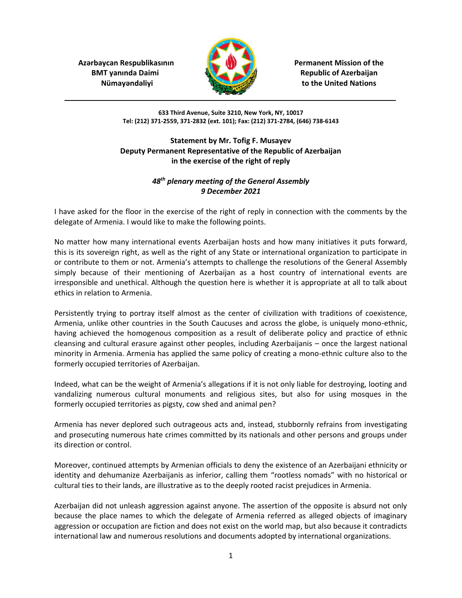**Azərbaycan Respublikasının Azərbaycan Respublikasının Azərbaycan Respublikasının** 



**BMT yanında Daimi Republic of Azerbaijan** *Nümay* and **a**lignations *numerical numerical numerical numerical**alignary* **<b>***numerical numerical numerical numerical numerical**numerical* **<b>***numerical numerical numerical n* 

> **633 Third Avenue, Suite 3210, New York, NY, 10017 Tel: (212) 371-2559, 371-2832 (ext. 101); Fax: (212) 371-2784, (646) 738-6143**

## **Statement by Mr. Tofig F. Musayev Deputy Permanent Representative of the Republic of Azerbaijan in the exercise of the right of reply**

## *48th plenary meeting of the General Assembly 9 December 2021*

I have asked for the floor in the exercise of the right of reply in connection with the comments by the delegate of Armenia. I would like to make the following points.

No matter how many international events Azerbaijan hosts and how many initiatives it puts forward, this is its sovereign right, as well as the right of any State or international organization to participate in or contribute to them or not. Armenia's attempts to challenge the resolutions of the General Assembly simply because of their mentioning of Azerbaijan as a host country of international events are irresponsible and unethical. Although the question here is whether it is appropriate at all to talk about ethics in relation to Armenia.

Persistently trying to portray itself almost as the center of civilization with traditions of coexistence, Armenia, unlike other countries in the South Caucuses and across the globe, is uniquely mono-ethnic, having achieved the homogenous composition as a result of deliberate policy and practice of ethnic cleansing and cultural erasure against other peoples, including Azerbaijanis – once the largest national minority in Armenia. Armenia has applied the same policy of creating a mono-ethnic culture also to the formerly occupied territories of Azerbaijan.

Indeed, what can be the weight of Armenia's allegations if it is not only liable for destroying, looting and vandalizing numerous cultural monuments and religious sites, but also for using mosques in the formerly occupied territories as pigsty, cow shed and animal pen?

Armenia has never deplored such outrageous acts and, instead, stubbornly refrains from investigating and prosecuting numerous hate crimes committed by its nationals and other persons and groups under its direction or control.

Moreover, continued attempts by Armenian officials to deny the existence of an Azerbaijani ethnicity or identity and dehumanize Azerbaijanis as inferior, calling them "rootless nomads" with no historical or cultural ties to their lands, are illustrative as to the deeply rooted racist prejudices in Armenia.

Azerbaijan did not unleash aggression against anyone. The assertion of the opposite is absurd not only because the place names to which the delegate of Armenia referred as alleged objects of imaginary aggression or occupation are fiction and does not exist on the world map, but also because it contradicts international law and numerous resolutions and documents adopted by international organizations.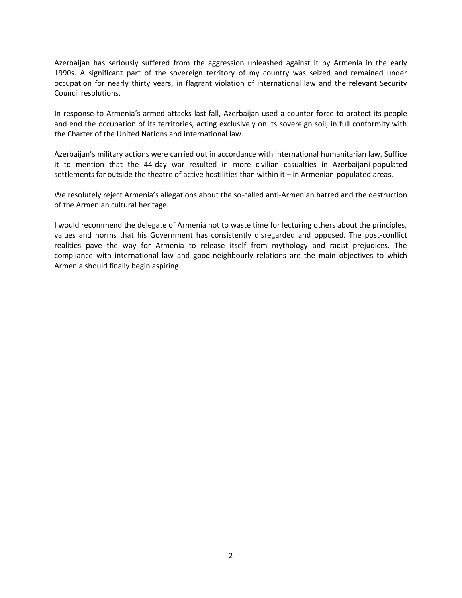Azerbaijan has seriously suffered from the aggression unleashed against it by Armenia in the early 1990s. A significant part of the sovereign territory of my country was seized and remained under occupation for nearly thirty years, in flagrant violation of international law and the relevant Security Council resolutions.

In response to Armenia's armed attacks last fall, Azerbaijan used a counter-force to protect its people and end the occupation of its territories, acting exclusively on its sovereign soil, in full conformity with the Charter of the United Nations and international law.

Azerbaijan's military actions were carried out in accordance with international humanitarian law. Suffice it to mention that the 44-day war resulted in more civilian casualties in Azerbaijani-populated settlements far outside the theatre of active hostilities than within it – in Armenian-populated areas.

We resolutely reject Armenia's allegations about the so-called anti-Armenian hatred and the destruction of the Armenian cultural heritage.

I would recommend the delegate of Armenia not to waste time for lecturing others about the principles, values and norms that his Government has consistently disregarded and opposed. The post-conflict realities pave the way for Armenia to release itself from mythology and racist prejudices. The compliance with international law and good-neighbourly relations are the main objectives to which Armenia should finally begin aspiring.